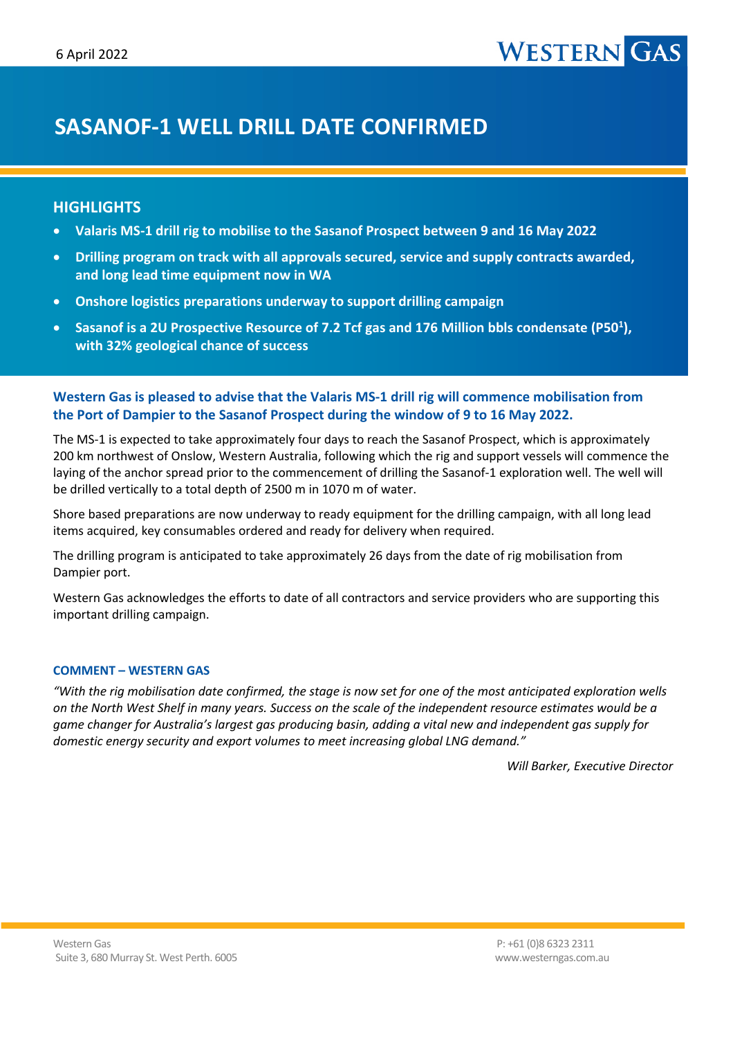# **WESTERN**

# **SASANOF-1 WELL DRILL DATE CONFIRMED**

## **HIGHLIGHTS**

- **Valaris MS-1 drill rig to mobilise to the Sasanof Prospect between 9 and 16 May 2022**
- **Drilling program on track with all approvals secured, service and supply contracts awarded, and long lead time equipment now in WA**
- **Onshore logistics preparations underway to support drilling campaign**
- **Sasanof is a 2U Prospective Resource of 7.2 Tcf gas and 176 Million bbls condensate (P501 ), with 32% geological chance of success**

### **Western Gas is pleased to advise that the Valaris MS-1 drill rig will commence mobilisation from the Port of Dampier to the Sasanof Prospect during the window of 9 to 16 May 2022.**

The MS-1 is expected to take approximately four days to reach the Sasanof Prospect, which is approximately 200 km northwest of Onslow, Western Australia, following which the rig and support vessels will commence the laying of the anchor spread prior to the commencement of drilling the Sasanof-1 exploration well. The well will be drilled vertically to a total depth of 2500 m in 1070 m of water.

Shore based preparations are now underway to ready equipment for the drilling campaign, with all long lead items acquired, key consumables ordered and ready for delivery when required.

The drilling program is anticipated to take approximately 26 days from the date of rig mobilisation from Dampier port.

Western Gas acknowledges the efforts to date of all contractors and service providers who are supporting this important drilling campaign.

#### **COMMENT – WESTERN GAS**

*"With the rig mobilisation date confirmed, the stage is now set for one of the most anticipated exploration wells on the North West Shelf in many years. Success on the scale of the independent resource estimates would be a game changer for Australia's largest gas producing basin, adding a vital new and independent gas supply for domestic energy security and export volumes to meet increasing global LNG demand."*

*Will Barker, Executive Director*